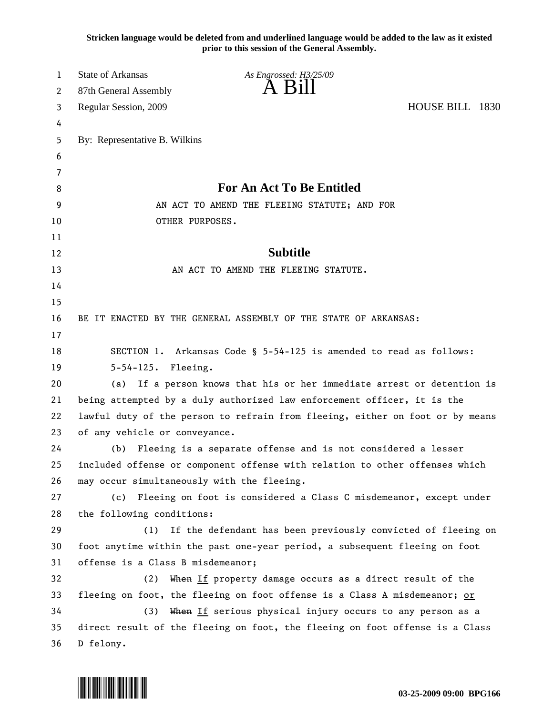**Stricken language would be deleted from and underlined language would be added to the law as it existed prior to this session of the General Assembly.**

| $\mathbf{1}$ | <b>State of Arkansas</b><br>As Engrossed: H3/25/09                                             |  |
|--------------|------------------------------------------------------------------------------------------------|--|
| 2            | À Bill<br>87th General Assembly                                                                |  |
| 3            | HOUSE BILL 1830<br>Regular Session, 2009                                                       |  |
| 4            |                                                                                                |  |
| 5            | By: Representative B. Wilkins                                                                  |  |
| 6            |                                                                                                |  |
| 7            |                                                                                                |  |
| 8            | For An Act To Be Entitled                                                                      |  |
| 9            | AN ACT TO AMEND THE FLEEING STATUTE; AND FOR                                                   |  |
| 10           | OTHER PURPOSES.                                                                                |  |
| 11           |                                                                                                |  |
| 12           | <b>Subtitle</b>                                                                                |  |
| 13           | AN ACT TO AMEND THE FLEEING STATUTE.                                                           |  |
| 14           |                                                                                                |  |
| 15           |                                                                                                |  |
| 16           | BE IT ENACTED BY THE GENERAL ASSEMBLY OF THE STATE OF ARKANSAS:                                |  |
| 17           |                                                                                                |  |
| 18           | SECTION 1. Arkansas Code § 5-54-125 is amended to read as follows:                             |  |
| 19           | $5 - 54 - 125$ .<br>Fleeing.                                                                   |  |
| 20           | If a person knows that his or her immediate arrest or detention is<br>(a)                      |  |
| 21           | being attempted by a duly authorized law enforcement officer, it is the                        |  |
| 22           | lawful duty of the person to refrain from fleeing, either on foot or by means                  |  |
| 23           | of any vehicle or conveyance.                                                                  |  |
| 24           | Fleeing is a separate offense and is not considered a lesser<br>(b)                            |  |
| 25           | included offense or component offense with relation to other offenses which                    |  |
| 26<br>27     | may occur simultaneously with the fleeing.<br>(c)                                              |  |
| 28           | Fleeing on foot is considered a Class C misdemeanor, except under<br>the following conditions: |  |
| 29           | If the defendant has been previously convicted of fleeing on<br>(1)                            |  |
| 30           | foot anytime within the past one-year period, a subsequent fleeing on foot                     |  |
| 31           | offense is a Class B misdemeanor;                                                              |  |
| 32           | When If property damage occurs as a direct result of the<br>(2)                                |  |
| 33           | fleeing on foot, the fleeing on foot offense is a Class A misdemeanor; or                      |  |
| 34           | When If serious physical injury occurs to any person as a<br>(3)                               |  |
| 35           | direct result of the fleeing on foot, the fleeing on foot offense is a Class                   |  |
| 36           | D felony.                                                                                      |  |
|              |                                                                                                |  |